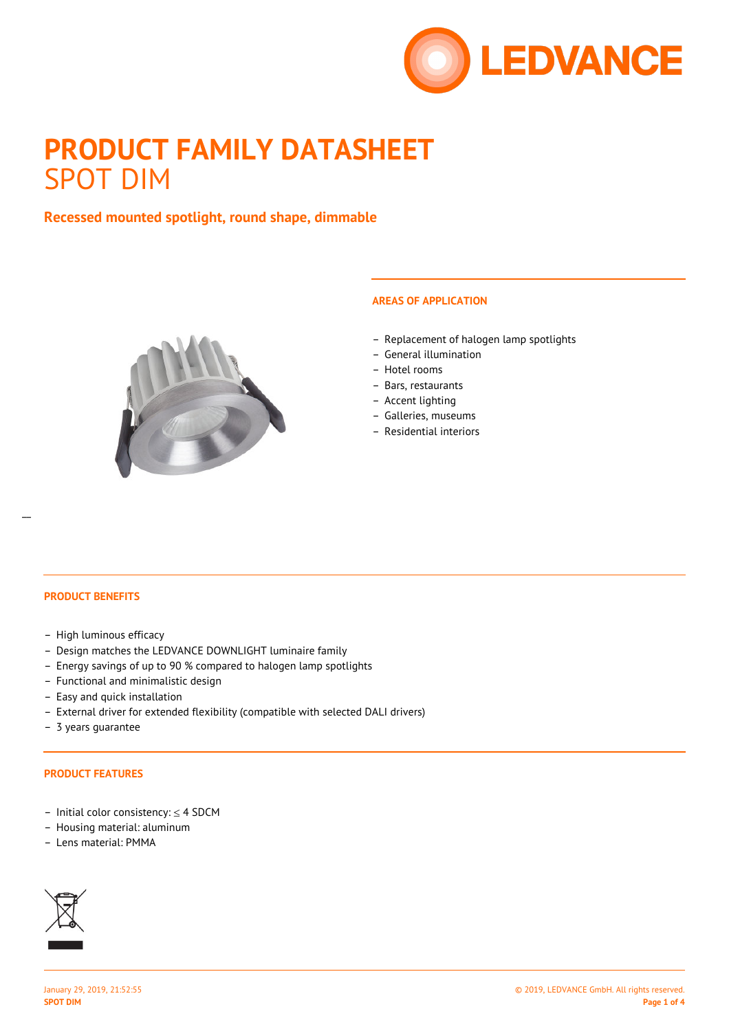

# **PRODUCT FAMILY DATASHEET** SPOT DIM

# **Recessed mounted spotlight, round shape, dimmable**



## **AREAS OF APPLICATION**

- Replacement of halogen lamp spotlights
- General illumination
- Hotel rooms
- Bars, restaurants
- Accent lighting
- Galleries, museums
- Residential interiors

#### **PRODUCT BENEFITS**

- High luminous efficacy
- Design matches the LEDVANCE DOWNLIGHT luminaire family
- Energy savings of up to 90 % compared to halogen lamp spotlights
- Functional and minimalistic design
- Easy and quick installation
- External driver for extended flexibility (compatible with selected DALI drivers)
- 3 years guarantee

#### **PRODUCT FEATURES**

- Initial color consistency: ≤ 4 SDCM
- Housing material: aluminum
- Lens material: PMMA

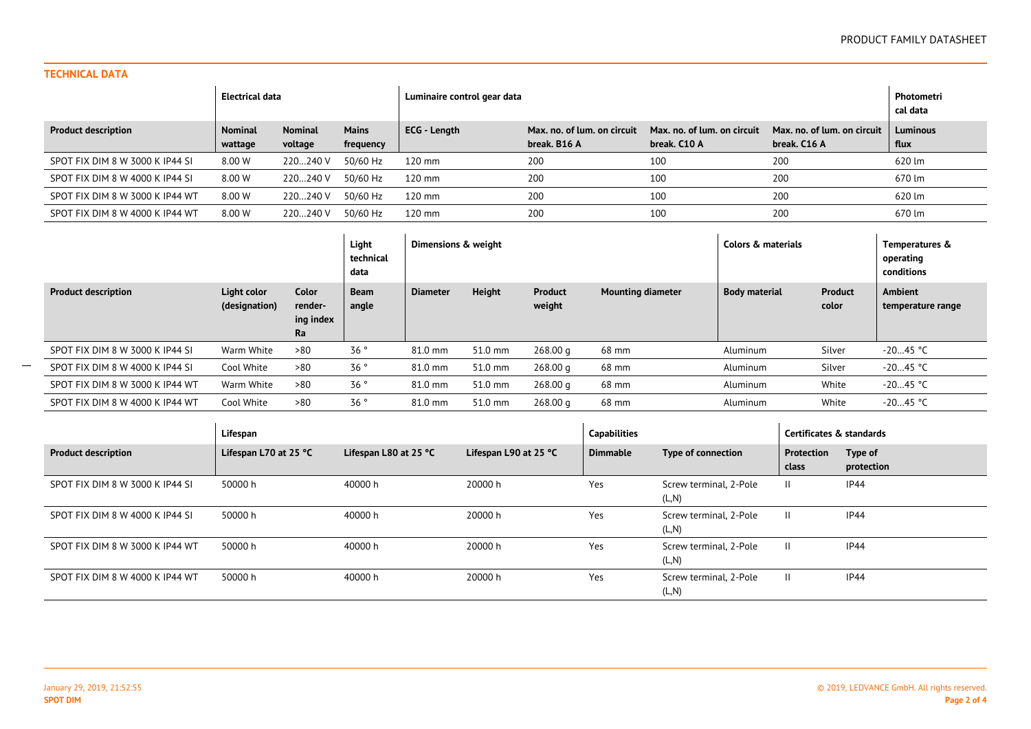## **TECHNICAL DATA**

 $\mathcal{L}=\mathcal{L}$ 

|                                 | Electrical data           |                           |                           | Luminaire control gear data | Photometri<br>cal data                      |                                             |                                             |                         |
|---------------------------------|---------------------------|---------------------------|---------------------------|-----------------------------|---------------------------------------------|---------------------------------------------|---------------------------------------------|-------------------------|
| <b>Product description</b>      | <b>Nominal</b><br>wattage | <b>Nominal</b><br>voltage | <b>Mains</b><br>frequency | <b>ECG</b> - Length         | Max, no, of lum, on circuit<br>break. B16 A | Max. no. of lum. on circuit<br>break. C10 A | Max. no. of lum. on circuit<br>break. C16 A | <b>Luminous</b><br>flux |
| SPOT FIX DIM 8 W 3000 K IP44 SI | 8.00 W                    | 220240 V                  | 50/60 Hz                  | $120 \text{ mm}$            | 200                                         | 100                                         | 200                                         | 620 lm                  |
| SPOT FIX DIM 8 W 4000 K IP44 SI | 8.00 W                    | 220240 V                  | 50/60 Hz                  | $120 \text{ mm}$            | 200                                         | 100                                         | 200                                         | 670 lm                  |
| SPOT FIX DIM 8 W 3000 K IP44 WT | 8.00 W                    | 220240 V                  | 50/60 Hz                  | $120 \text{ mm}$            | 200                                         | 100                                         | 200                                         | 620 lm                  |
| SPOT FIX DIM 8 W 4000 K IP44 WT | 8.00 W                    | 220240 V                  | 50/60 Hz                  | $120 \text{ mm}$            | 200                                         | 100                                         | 200                                         | 670 lm                  |

|                                 |                              |                                            | Light<br>technical<br>data | Dimensions & weight |               |                   | Colors & materials       |                      | Temperatures &<br>operating<br>conditions |                                     |
|---------------------------------|------------------------------|--------------------------------------------|----------------------------|---------------------|---------------|-------------------|--------------------------|----------------------|-------------------------------------------|-------------------------------------|
| <b>Product description</b>      | Light color<br>(designation) | <b>Color</b><br>render-<br>ing index<br>Ra | <b>Beam</b><br>angle       | Diameter            | <b>Height</b> | Product<br>weight | <b>Mounting diameter</b> | <b>Body material</b> | Product<br>color                          | <b>Ambient</b><br>temperature range |
| SPOT FIX DIM 8 W 3000 K IP44 SI | Warm White                   | >80                                        | 36°                        | 81.0 mm             | 51.0 mm       | 268.00 g          | 68 mm                    | Aluminum             | Silver                                    | -20…45 °C                           |
| SPOT FIX DIM 8 W 4000 K IP44 SI | Cool White                   | >80                                        | 36°                        | 81.0 mm             | 51.0 mm       | 268.00 g          | 68 mm                    | Aluminum             | Silver                                    | $-2045 °C$                          |
| SPOT FIX DIM 8 W 3000 K IP44 WT | Warm White                   | >80                                        | 36°                        | 81.0 mm             | 51.0 mm       | 268.00 g          | 68 mm                    | Aluminum             | White                                     | -20…45 °C                           |
| SPOT FIX DIM 8 W 4000 K IP44 WT | Cool White                   | >80                                        | 36°                        | 81.0 mm             | 51.0 mm       | 268.00 g          | 68 mm                    | Aluminum             | White                                     | $-2045 °C$                          |

|                                 | Lifespan                        |                       |                       | <b>Capabilities</b> |                                 | Certificates & standards |                       |
|---------------------------------|---------------------------------|-----------------------|-----------------------|---------------------|---------------------------------|--------------------------|-----------------------|
| <b>Product description</b>      | Lifespan L70 at 25 $^{\circ}$ C | Lifespan L80 at 25 °C | Lifespan L90 at 25 °C | Dimmable            | Type of connection              | Protection<br>class      | Type of<br>protection |
| SPOT FIX DIM 8 W 3000 K IP44 SI | 50000 h                         | 40000 h               | 20000 h               | Yes                 | Screw terminal, 2-Pole<br>(L,N) | H.                       | IP44                  |
| SPOT FIX DIM 8 W 4000 K IP44 SI | 50000 h                         | 40000 h               | 20000 h               | Yes                 | Screw terminal, 2-Pole<br>(L,N) | H.                       | IP44                  |
| SPOT FIX DIM 8 W 3000 K IP44 WT | 50000 h                         | 40000 h               | 20000 h               | Yes                 | Screw terminal, 2-Pole<br>(L,N) | H.                       | IP44                  |
| SPOT FIX DIM 8 W 4000 K IP44 WT | 50000 h                         | 40000 h               | 20000 h               | Yes                 | Screw terminal, 2-Pole<br>(L,N) | H.                       | <b>IP44</b>           |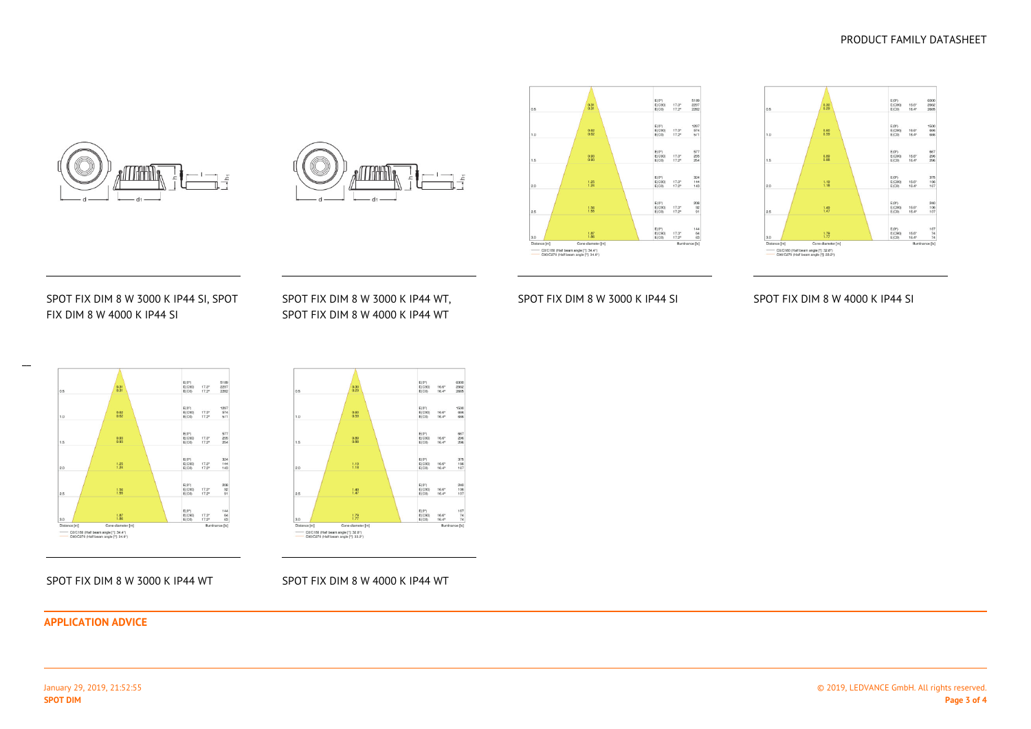© 2019, LEDVANCE GmbH. All rights reserved.

#### **APPLICATION ADVICE**

SPOT FIX DIM 8 W 3000 K IP44 WT

#### SPOT FIX DIM 8 W 4000 K IP44 WT



 $\frac{1}{\sqrt{2}}$ 



# SPOT FIX DIM 8 W 3000 K IP44 SI, SPOTFIX DIM 8 W 4000 K IP44 SI

///dmhNr

 $-d1$ 

## SPOT FIX DIM 8 W 3000 K IP44 WT,SPOT FIX DIM 8 W 4000 K IP44 WT

# SPOT FIX DIM 8 W 3000 K IP44 SI

 $\frac{0.62}{0.62}$ 

 $\frac{0.93}{0.93}$ 

 $\frac{1.25}{1.24}$ 

 $\frac{1.56}{1.55}$ 

 $\frac{1.87}{1.86}$ 

Cone diameter Im

Dis

 $E(0^*)$ <br>E(C90) 17.3\*<br>E(C0) 17.2\*

 $E(0^*)$ <br>  $E(C90)$  17.3°<br>  $E(C0)$  17.2°

E(0")<br>E(C90) 17.3"<br>E(C0) 17.2"

 $\begin{array}{ll} \mathsf{E}(0^*) \\ \mathsf{E}(\mathsf{C90}) & 17.3^{\circ} \\ \mathsf{E}(\mathsf{C0}) & 17.2^{\circ} \end{array}$ 

 $\begin{array}{c} 17.3^{\mathrm{o}} \\ 17.2^{\mathrm{o}} \end{array}$ 

 $^{17.3^{\circ}}_{17.2^{\circ}}$ 

 $\begin{array}{c} \mathsf{E}(0^{\mathrm{o}})\\ \mathsf{E}(\mathsf{C}\mathsf{S}\mathsf{0})\\ \mathsf{E}(\mathsf{C}\mathsf{0}) \end{array}$ 

 $\begin{array}{c} \mathsf{E}(0^*)\\ \mathsf{E}(\mathsf{C90})\\ \mathsf{E}(\mathsf{C0}) \end{array}$ 

5189<br>2297<br>2282

1297<br>574<br>571

 $\begin{array}{r} 577 \\ 255 \\ 254 \end{array}$ 

 $324$ <br> $144$ <br> $143$ 

208<br>92<br>91

 $\begin{array}{r} 144 \\ 64 \\ 63 \end{array}$ 

# SPOT FIX DIM 8 W 4000 K IP44 SI





족

## PRODUCT FAMILY DATASHEET

Distance [m]